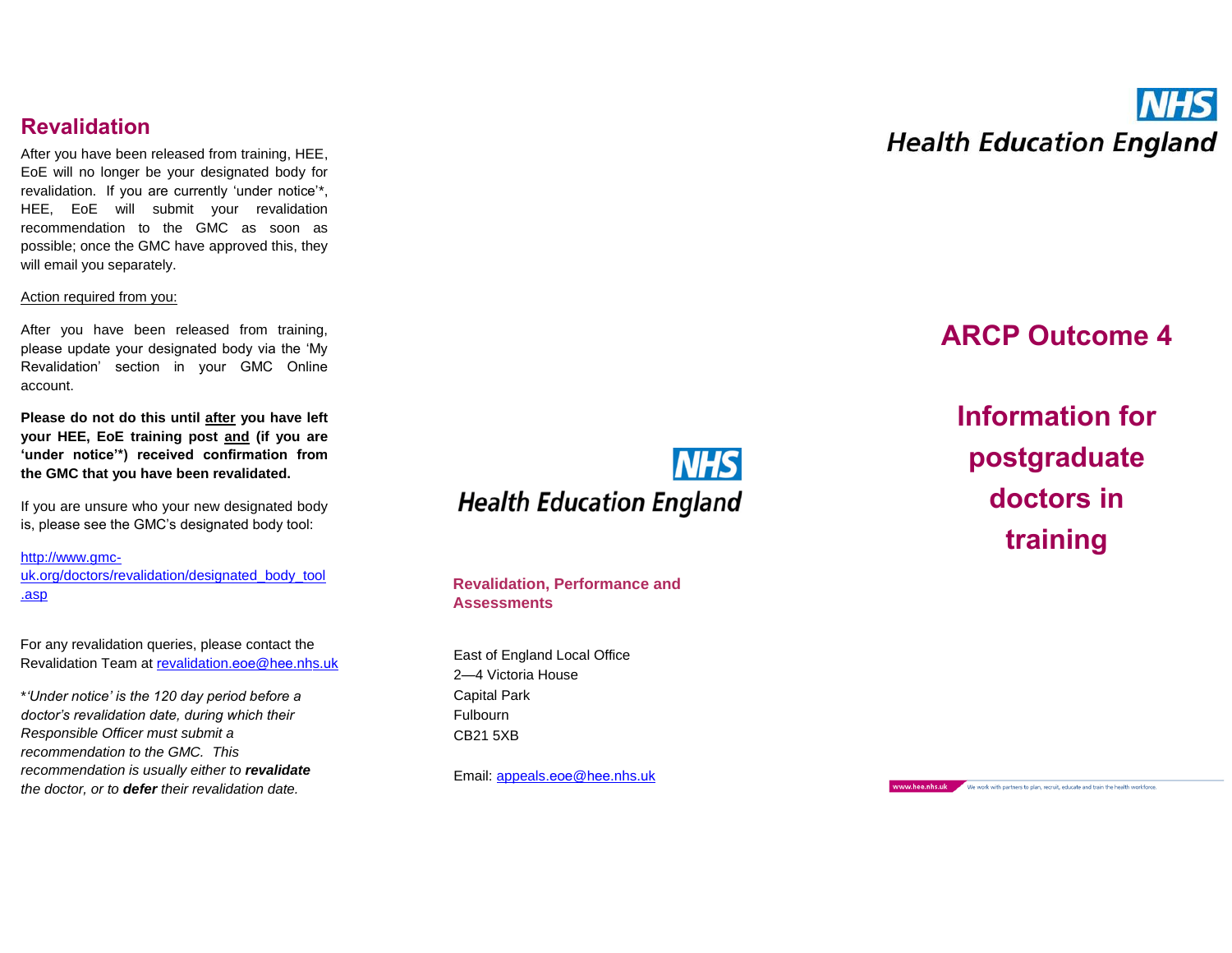### **Revalidation**

After you have been released from training, HEE,<br>EoE will no longer be your designated body for revalidation. If you are currently 'under notice' \*, HEE, EoE will submit your revalidation recommendation to the GMC as soon as possible; once the GMC have approved this, they will email you separately.

#### Action required from you:

After you have been released from training, please update your designated body via the 'My Revalidation' section in your GMC Online account.

**Please do not do this until after you have left your HEE, EoE training post and (if you are 'under notice'\*) received confirmation from the GMC that you have been revalidated.**

If you are unsure who your new designated body is, please see the GMC's designated body tool:

[http://www.gmc](http://www.gmc-uk.org/doctors/revalidation/designated_body_tool.asp) [uk.org/doctors/revalidation/designated\\_body\\_tool](http://www.gmc-uk.org/doctors/revalidation/designated_body_tool.asp) [.asp](http://www.gmc-uk.org/doctors/revalidation/designated_body_tool.asp)

For any revalidation queries, please contact the R[evalidation](mailto:revalidation.eoe@hee.nhs.uk) Team at <u>revalidation.eoe@hee.nhs.uk</u>

\**'Under notice' is the 120 day period before a doctor's revalidation date, during which their Responsible Officer must submit a recommendation to the GMC. This recommendation is usually either to revalidate the doctor, or to defer their revalidation date.*



**Revalidation, Performance and Assessments**

East of England Local Office 2—4 Victoria House Capital Park Fulbourn CB21 5XB

Email: [appeals](mailto:appeals.eoe@hee.nhs.uk).eoe@hee.nhs.uk

# **INHS Health Education England**

### **ARCP Outcome 4**

**Information for postgraduate doctors in training**

www.hee.nhs.uk We work with partners to plan, recruit, educate and train the health workforce.